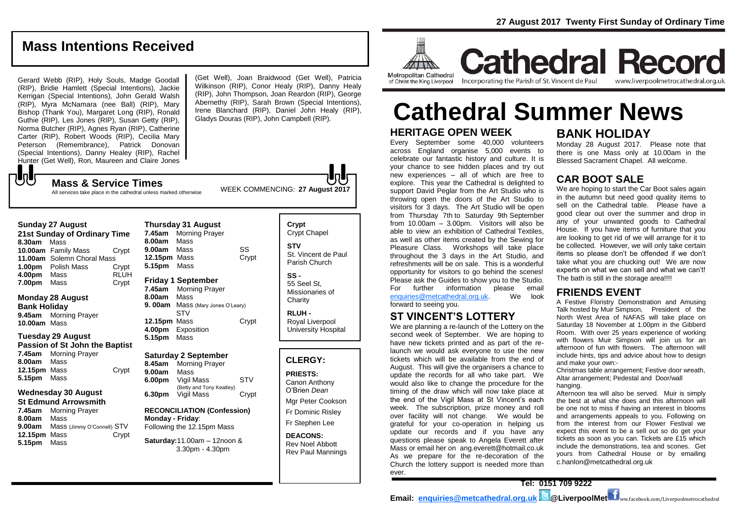### **Mass Intentions Received**

Gerard Webb (RIP), Holy Souls, Madge Goodall (RIP), Bridie Hamlett (Special Intentions), Jackie Kerrigan (Special Intentions), John Gerald Walsh (RIP), Myra McNamara (nee Ball) (RIP), Mary Bishop (Thank You), Margaret Long (RIP), Ronald Guthie (RIP), Les Jones (RIP), Susan Getty (RIP), Norma Butcher (RIP), Agnes Ryan (RIP), Catherine Carter (RIP), Robert Woods (RIP), Cecilia Mary Peterson (Remembrance), Patrick Donovan (Special Intentions), Danny Healey (RIP), Rachel Hunter (Get Well), Ron, Maureen and Claire Jones  ${\bf J}$ 

(Get Well), Joan Braidwood (Get Well), Patricia Wilkinson (RIP), Conor Healy (RIP), Danny Healy (RIP), John Thompson, Joan Reardon (RIP), George Abernethy (RIP), Sarah Brown (Special Intentions), Irene Blanchard (RIP), Daniel John Healy (RIP), Gladys Douras (RIP), John Campbell (RIP).

All services take place in the cathedral unless marked otherwise

#### **Thursday 31 August**

| 21st Sunday of Ordinary Time |                            |             |  |  |
|------------------------------|----------------------------|-------------|--|--|
| 8.30am Mass                  |                            |             |  |  |
|                              | 10.00am Family Mass        | Crypt       |  |  |
|                              | 11.00am Solemn Choral Mass |             |  |  |
|                              | 1.00pm Polish Mass         | Crypt       |  |  |
| 4.00pm                       | Mass                       | <b>RLUH</b> |  |  |
| 7.00pm                       | Mass                       | Crypt       |  |  |

#### **Monday 28 August Bank Holiday**

**Sunday 27 August** 

**9.45am** Morning Prayer **10.00am** Mass

#### **Tuesday 29 August Passion of St John the Baptist**

|              | 7.45am Morning Prayer |       |
|--------------|-----------------------|-------|
| 8.00am Mass  |                       |       |
| 12.15pm Mass |                       | Crypt |
| 5.15pm Mass  |                       |       |

#### **Wednesday 30 August St Edmund Arrowsmith**

| 7.45am       | <b>Morning Prayer</b>      |       |  |  |
|--------------|----------------------------|-------|--|--|
| 8.00am       | Mass                       |       |  |  |
| 9.00am       | Mass (Jimmy O'Connell) STV |       |  |  |
| 12.15pm Mass |                            | Crypt |  |  |
| 5.15pm Mass  |                            |       |  |  |

**7.45am** Morning Prayer **8.00am** Mass **9.00am** Mass SS **12.15pm** Mass Crypt **5.15pm** Mass **Friday 1 September 7.45am** Morning Prayer **8.00am** Mass **9. 00am** Mass (Mary Jones O'Leary) STV **12.15pm** Mass Crypt **4.00pm** Exposition **5.15pm** Mass

#### **Saturday 2 September**

**8.45am** Morning Prayer **9.00am** Mass **6.00pm** Vigil Mass STV (Betty and Tony Keatley) **6.30pm** Vigil Mass Crypt

#### **RECONCILIATION (Confession) Monday - Friday**: Following the 12.15pm Mass

**Saturday:**11.00am – 12noon & 3.30pm - 4.30pm

#### **Crypt**  Crypt Chapel **STV** St. Vincent de Paul Parish Church **SS -**

55 Seel St, Missionaries of **Charity** 

**RLUH -** Royal Liverpool University Hospital

#### **CLERGY:**

**PRIESTS:** Canon Anthony O'Brien *Dean*

Mgr Peter Cookson Fr Dominic Risley

Fr Stephen Lee

**DEACONS:** Rev Noel Abbott Rev Paul Mannings



Metropolitan Cathedral of Christ the King Liverpool

Incorporating the Parish of St. Vincent de Paul

**Cathedral Record** www.liverpoolmetrocathedral.org.uk

# **HERITAGE OPEN WEEK Cathedral Summer News**

Every September some 40,000 volunteers across England organise 5,000 events to celebrate our fantastic history and culture. It is your chance to see hidden places and try out new experiences – all of which are free to explore. This year the Cathedral is delighted to support David Peglar from the Art Studio who is throwing open the doors of the Art Studio to visitors for 3 days. The Art Studio will be open from Thursday 7th to Saturday 9th September from  $10.00$ am  $-3.00$ pm. Visitors will also be able to view an exhibition of Cathedral Textiles, as well as other items created by the Sewing for Pleasure Class. Workshops will take place throughout the 3 days in the Art Studio, and refreshments will be on sale. This is a wonderful opportunity for visitors to go behind the scenes! Please ask the Guides to show you to the Studio. For further information please email<br>enquiries@metcathedral.org.uk. We look  $enquiries@metcathedral.org.uk.$ forward to seeing you.

### **ST VINCENT'S LOTTERY**

We are planning a re-launch of the Lottery on the second week of September. We are hoping to have new tickets printed and as part of the relaunch we would ask everyone to use the new tickets which will be available from the end of August. This will give the organisers a chance to update the records for all who take part. We would also like to change the procedure for the timing of the draw which will now take place at the end of the Vigil Mass at St Vincent's each week. The subscription, prize money and roll over facility will not change. We would be grateful for your co-operation in helping us update our records and if you have any questions please speak to Angela Everett after Mass or email her on ang.everett@hotmail.co.uk As we prepare for the re-decoration of the Church the lottery support is needed more than ever.

### **BANK HOLIDAY**

Monday 28 August 2017. Please note that there is one Mass only at 10.00am in the Blessed Sacrament Chapel. All welcome.

### **CAR BOOT SALE**

We are hoping to start the Car Boot sales again in the autumn but need good quality items to sell on the Cathedral table. Please have a good clear out over the summer and drop in any of your unwanted goods to Cathedral House. If you have items of furniture that you are looking to get rid of we will arrange for it to be collected. However, we will only take certain items so please don't be offended if we don't take what you are chucking out! We are now experts on what we can sell and what we can't! The bath is still in the storage area!!!!

#### **FRIENDS EVENT**

A Festive Floristry Demonstration and Amusing Talk hosted by Muir Simpson, President of the North West Area of NAFAS will take place on Saturday 18 November at 1.00pm in the Gibberd Room. With over 25 years experience of working with flowers Muir Simpson will join us for an afternoon of fun with flowers. The afternoon will include hints, tips and advice about how to design and make your own:-

Christmas table arrangement; Festive door wreath, Altar arrangement; Pedestal and Door/wall hanging.

Afternoon tea will also be served. Muir is simply the best at what she does and this afternoon will be one not to miss if having an interest in blooms and arrangements appeals to you. Following on from the interest from our Flower Festival we expect this event to be a sell out so do get your tickets as soon as you can. Tickets are £15 which include the demonstrations, tea and scones. Get yours from Cathedral House or by emailing c.hanlon@metcathedral.org.uk